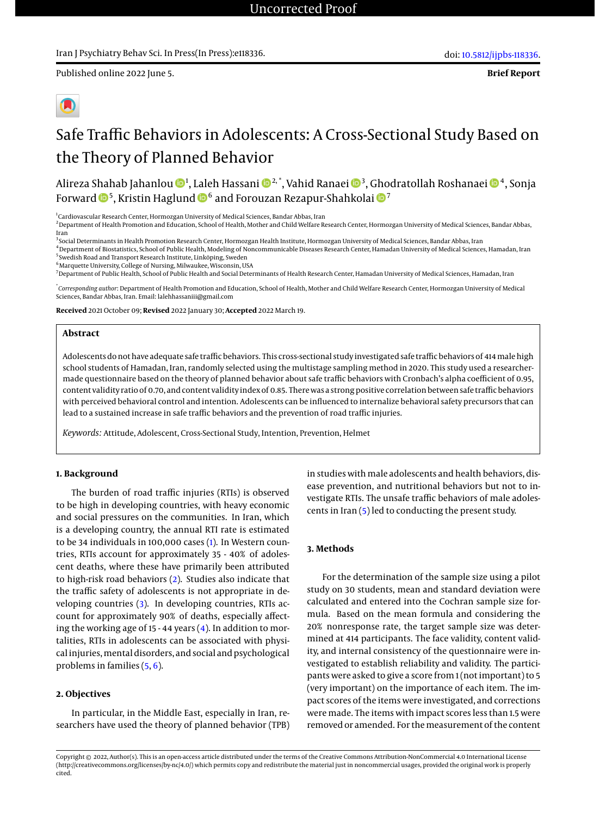# Safe Traffic Behaviors in Adolescents: A Cross-Sectional Study Based on the Theory of Planned Behavior

Alireza Shahab Jahanlou ��4, Laleh Hassani �����\*, Vahid Ranaei ���, Ghodratollah Roshanaei ����, Sonja Forward  $\mathbf{\Phi}^5$ , Kristin Haglund  $\mathbf{\Phi}^6$  and Forouzan Rezapur-Shahkolai  $\mathbf{\Phi}^7$ 

<sup>1</sup>Cardiovascular Research Center, Hormozgan University of Medical Sciences, Bandar Abbas, Iran

<sup>2</sup> Department of Health Promotion and Education, School of Health, Mother and Child Welfare Research Center, Hormozgan University of Medical Sciences, Bandar Abbas, Iran

<sup>3</sup>Social Determinants in Health Promotion Research Center, Hormozgan Health Institute, Hormozgan University of Medical Sciences, Bandar Abbas, Iran

<sup>4</sup>Department of Biostatistics, School of Public Health, Modeling of Noncommunicable Diseases Research Center, Hamadan University of Medical Sciences, Hamadan, Iran 5 Swedish Road and Transport Research Institute, Linköping, Sweden

 $^6$ Marquette University, College of Nursing, Milwaukee, Wisconsin, USA

<sup>7</sup>Department of Public Health, School of Public Health and Social Determinants of Health Research Center, Hamadan University of Medical Sciences, Hamadan, Iran

\* *Corresponding author*: Department of Health Promotion and Education, School of Health, Mother and Child Welfare Research Center, Hormozgan University of Medical Sciences, Bandar Abbas, Iran. Email: lalehhassaniii@gmail.com

**Received** 2021 October 09; **Revised** 2022 January 30; **Accepted** 2022 March 19.

#### **Abstract**

Adolescents do not have adequate safe traffic behaviors. This cross-sectional study investigated safe traffic behaviors of 414male high school students of Hamadan, Iran, randomly selected using the multistage sampling method in 2020. This study used a researchermade questionnaire based on the theory of planned behavior about safe traffic behaviors with Cronbach's alpha coefficient of 0.95, content validity ratio of 0.70, and content validity index of 0.85. There was a strong positive correlation between safe traffic behaviors with perceived behavioral control and intention. Adolescents can be influenced to internalize behavioral safety precursors that can lead to a sustained increase in safe traffic behaviors and the prevention of road traffic injuries.

*Keywords:* Attitude, Adolescent, Cross-Sectional Study, Intention, Prevention, Helmet

#### **1. Background**

The burden of road traffic injuries (RTIs) is observed to be high in developing countries, with heavy economic and social pressures on the communities. In Iran, which is a developing country, the annual RTI rate is estimated to be 34 individuals in 100,000 cases [\(1\)](#page-3-0). In Western countries, RTIs account for approximately 35 - 40% of adolescent deaths, where these have primarily been attributed to high-risk road behaviors [\(2\)](#page-3-1). Studies also indicate that the traffic safety of adolescents is not appropriate in developing countries [\(3\)](#page-3-2). In developing countries, RTIs account for approximately 90% of deaths, especially affecting the working age of 15 - 44 years [\(4\)](#page-3-3). In addition to mortalities, RTIs in adolescents can be associated with physical injuries,mental disorders, and social and psychological problems in families [\(5,](#page-3-4) [6\)](#page-3-5).

#### **2. Objectives**

In particular, in the Middle East, especially in Iran, researchers have used the theory of planned behavior (TPB)

in studies with male adolescents and health behaviors, disease prevention, and nutritional behaviors but not to investigate RTIs. The unsafe traffic behaviors of male adolescents in Iran [\(5\)](#page-3-4) led to conducting the present study.

#### **3. Methods**

For the determination of the sample size using a pilot study on 30 students, mean and standard deviation were calculated and entered into the Cochran sample size formula. Based on the mean formula and considering the 20% nonresponse rate, the target sample size was determined at 414 participants. The face validity, content validity, and internal consistency of the questionnaire were investigated to establish reliability and validity. The participants were asked to give a score from 1 (not important) to 5 (very important) on the importance of each item. The impact scores of the items were investigated, and corrections were made. The items with impact scores less than 1.5 were removed or amended. For the measurement of the content

Copyright © 2022, Author(s). This is an open-access article distributed under the terms of the Creative Commons Attribution-NonCommercial 4.0 International License (http://creativecommons.org/licenses/by-nc/4.0/) which permits copy and redistribute the material just in noncommercial usages, provided the original work is properly cited.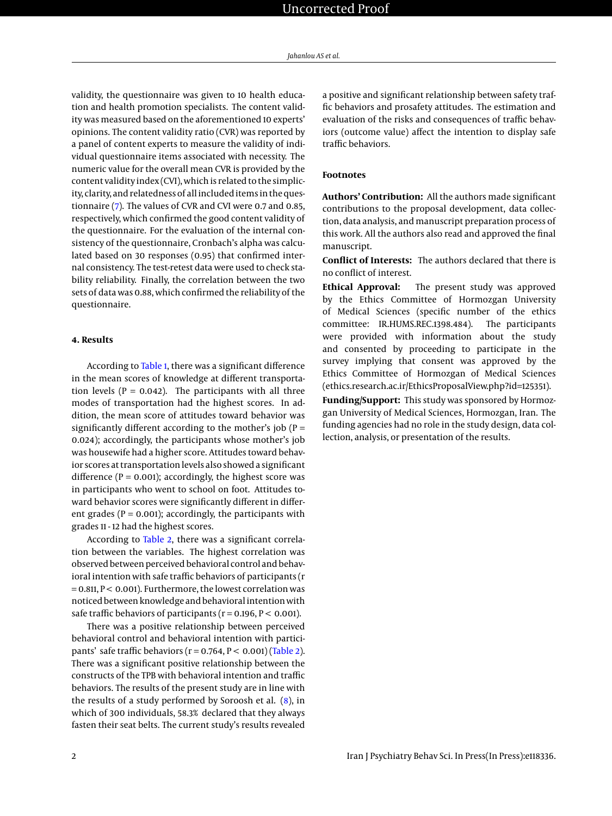validity, the questionnaire was given to 10 health education and health promotion specialists. The content validity was measured based on the aforementioned 10 experts' opinions. The content validity ratio (CVR) was reported by a panel of content experts to measure the validity of individual questionnaire items associated with necessity. The numeric value for the overall mean CVR is provided by the content validity index (CVI), which is related to the simplicity, clarity, and relatedness of all included items in the questionnaire [\(7\)](#page-3-6). The values of CVR and CVI were 0.7 and 0.85, respectively, which confirmed the good content validity of the questionnaire. For the evaluation of the internal consistency of the questionnaire, Cronbach's alpha was calculated based on 30 responses (0.95) that confirmed internal consistency. The test-retest data were used to check stability reliability. Finally, the correlation between the two sets of data was 0.88, which confirmed the reliability of the questionnaire.

### **4. Results**

According to [Table 1,](#page-2-0) there was a significant difference in the mean scores of knowledge at different transportation levels ( $P = 0.042$ ). The participants with all three modes of transportation had the highest scores. In addition, the mean score of attitudes toward behavior was significantly different according to the mother's job ( $P =$ 0.024); accordingly, the participants whose mother's job was housewife had a higher score. Attitudes toward behavior scores at transportation levels also showed a significant difference ( $P = 0.001$ ); accordingly, the highest score was in participants who went to school on foot. Attitudes toward behavior scores were significantly different in different grades ( $P = 0.001$ ); accordingly, the participants with grades 11 - 12 had the highest scores.

According to [Table 2,](#page-3-7) there was a significant correlation between the variables. The highest correlation was observed between perceived behavioral control and behavioral intention with safe traffic behaviors of participants (r  $= 0.811$ ,  $P < 0.001$ ). Furthermore, the lowest correlation was noticed between knowledge and behavioral intention with safe traffic behaviors of participants ( $r = 0.196$ ,  $P < 0.001$ ).

There was a positive relationship between perceived behavioral control and behavioral intention with participants' safe traffic behaviors ( $r = 0.764$ ,  $P < 0.001$ ) [\(Table 2\)](#page-3-7). There was a significant positive relationship between the constructs of the TPB with behavioral intention and traffic behaviors. The results of the present study are in line with the results of a study performed by Soroosh et al. [\(8\)](#page-3-8), in which of 300 individuals, 58.3% declared that they always fasten their seat belts. The current study's results revealed

a positive and significant relationship between safety traffic behaviors and prosafety attitudes. The estimation and evaluation of the risks and consequences of traffic behaviors (outcome value) affect the intention to display safe traffic behaviors.

#### **Footnotes**

**Authors' Contribution:** All the authors made significant contributions to the proposal development, data collection, data analysis, and manuscript preparation process of this work. All the authors also read and approved the final manuscript.

**Conflict of Interests:** The authors declared that there is no conflict of interest.

**Ethical Approval:** The present study was approved by the Ethics Committee of Hormozgan University of Medical Sciences (specific number of the ethics committee: IR.HUMS.REC.1398.484). The participants were provided with information about the study and consented by proceeding to participate in the survey implying that consent was approved by the Ethics Committee of Hormozgan of Medical Sciences (ethics.research.ac.ir/EthicsProposalView.php?id=125351).

**Funding/Support:** This study was sponsored by Hormozgan University of Medical Sciences, Hormozgan, Iran. The funding agencies had no role in the study design, data collection, analysis, or presentation of the results.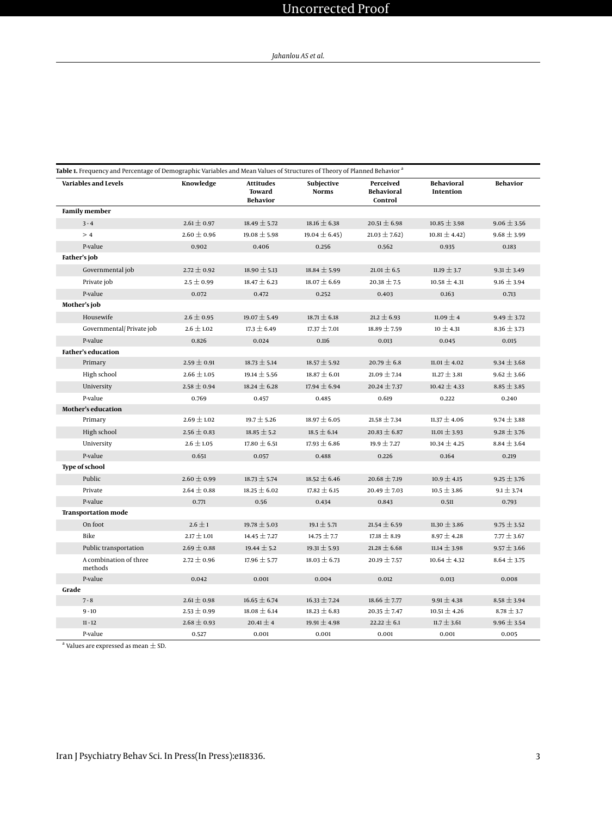## Uncorrected Proof

<span id="page-2-0"></span>

| <b>Table 1.</b> Frequency and Percentage of Demographic Variables and Mean Values of Structures of Theory of Planned Behavior <sup>a</sup> |                 |                                                      |                            |                                           |                                |                 |  |  |  |  |
|--------------------------------------------------------------------------------------------------------------------------------------------|-----------------|------------------------------------------------------|----------------------------|-------------------------------------------|--------------------------------|-----------------|--|--|--|--|
| <b>Variables and Levels</b>                                                                                                                | Knowledge       | <b>Attitudes</b><br><b>Toward</b><br><b>Behavior</b> | Subjective<br><b>Norms</b> | Perceived<br><b>Behavioral</b><br>Control | <b>Behavioral</b><br>Intention | <b>Behavior</b> |  |  |  |  |
| <b>Family member</b>                                                                                                                       |                 |                                                      |                            |                                           |                                |                 |  |  |  |  |
| $3 - 4$                                                                                                                                    | $2.61 \pm 0.97$ | $18.49 \pm 5.72$                                     | $18.16 \pm 6.38$           | $20.51 \pm 6.98$                          | $10.85 \pm 3.98$               | $9.06 \pm 3.56$ |  |  |  |  |
| >4                                                                                                                                         | $2.60 \pm 0.96$ | $19.08 \pm 5.98$                                     | $19.04 \pm 6.45$           | $21.03 \pm 7.62$                          | $10.81 \pm 4.42$               | $9.68 \pm 3.99$ |  |  |  |  |
| P-value                                                                                                                                    | 0.902           | 0.406                                                | 0.256                      | 0.562                                     | 0.935                          | 0.183           |  |  |  |  |
| Father's job                                                                                                                               |                 |                                                      |                            |                                           |                                |                 |  |  |  |  |
| Governmental job                                                                                                                           | $2.72 \pm 0.92$ | $18.90 \pm 5.13$                                     | $18.84 \pm 5.99$           | $21.01 \pm 6.5$                           | 11.19 $\pm$ 3.7                | $9.31 \pm 3.49$ |  |  |  |  |
| Private job                                                                                                                                | $2.5 \pm 0.99$  | $18.47 \pm 6.23$                                     | $18.07 \pm 6.69$           | $20.38 \pm 7.5$                           | $10.58 \pm 4.31$               | $9.16 \pm 3.94$ |  |  |  |  |
| P-value                                                                                                                                    | 0.072           | 0.472                                                | 0.252                      | 0.403                                     | 0.163                          | 0.713           |  |  |  |  |
| Mother's job                                                                                                                               |                 |                                                      |                            |                                           |                                |                 |  |  |  |  |
| Housewife                                                                                                                                  | $2.6 \pm 0.95$  | $19.07 \pm 5.49$                                     | $18.71 \pm 6.18$           | $21.2 \pm 6.93$                           | 11.09 $\pm$ 4                  | $9.49 \pm 3.72$ |  |  |  |  |
| Governmental/ Private job                                                                                                                  | $2.6 \pm 1.02$  | $17.3 \pm 6.49$                                      | $17.37 \pm 7.01$           | $18.89 \pm 7.59$                          | $10 \pm 4.31$                  | $8.36 \pm 3.73$ |  |  |  |  |
| P-value                                                                                                                                    | 0.826           | 0.024                                                | 0.116                      | 0.013                                     | 0.045                          | 0.015           |  |  |  |  |
| <b>Father's education</b>                                                                                                                  |                 |                                                      |                            |                                           |                                |                 |  |  |  |  |
| Primary                                                                                                                                    | $2.59 \pm 0.91$ | $18.73 \pm 5.14$                                     | $18.57 \pm 5.92$           | $20.79 \pm 6.8$                           | $11.01 \pm 4.02$               | $9.34 \pm 3.68$ |  |  |  |  |
| High school                                                                                                                                | $2.66 \pm 1.05$ | $19.14 \pm 5.56$                                     | $18.87 \pm 6.01$           | $21.09 \pm 7.14$                          | $11.27 \pm 3.81$               | $9.62 \pm 3.66$ |  |  |  |  |
| University                                                                                                                                 | $2.58 \pm 0.94$ | $18.24 \pm 6.28$                                     | $17.94 \pm 6.94$           | $20.24 \pm 7.37$                          | $10.42 \pm 4.33$               | $8.85 \pm 3.85$ |  |  |  |  |
| P-value                                                                                                                                    | 0.769           | 0.457                                                | 0.485                      | 0.619                                     | 0.222                          | 0.240           |  |  |  |  |
| Mother's education                                                                                                                         |                 |                                                      |                            |                                           |                                |                 |  |  |  |  |
| Primary                                                                                                                                    | $2.69 \pm 1.02$ | $19.7 \pm 5.26$                                      | $18.97 \pm 6.05$           | $21.58 \pm 7.34$                          | $11.37 \pm 4.06$               | $9.74 \pm 3.88$ |  |  |  |  |
| High school                                                                                                                                | $2.56 \pm 0.83$ | $18.85 \pm 5.2$                                      | $18.5 \pm 6.14$            | $20.83 \pm 6.87$                          | $11.01 \pm 3.93$               | $9.28 \pm 3.76$ |  |  |  |  |
| University                                                                                                                                 | $2.6 \pm 1.05$  | $17.80 \pm 6.51$                                     | $17.93 \pm 6.86$           | $19.9 \pm 7.27$                           | $10.34 \pm 4.25$               | $8.84 \pm 3.64$ |  |  |  |  |
| P-value                                                                                                                                    | 0.651           | 0.057                                                | 0.488                      | 0.226                                     | 0.164                          | 0.219           |  |  |  |  |
| <b>Type of school</b>                                                                                                                      |                 |                                                      |                            |                                           |                                |                 |  |  |  |  |
| Public                                                                                                                                     | $2.60 \pm 0.99$ | $18.73 \pm 5.74$                                     | $18.52 \pm 6.46$           | $20.68 \pm 7.19$                          | $10.9 \pm 4.15$                | $9.25 \pm 3.76$ |  |  |  |  |
| Private                                                                                                                                    | $2.64 \pm 0.88$ | $18.25 \pm 6.02$                                     | $17.82 \pm 6.15$           | $20.49 \pm 7.03$                          | $10.5 \pm 3.86$                | $9.1 \pm 3.74$  |  |  |  |  |
| P-value                                                                                                                                    | 0.771           | 0.56                                                 | 0.434                      | 0.843                                     | 0.511                          | 0.793           |  |  |  |  |
| <b>Transportation mode</b>                                                                                                                 |                 |                                                      |                            |                                           |                                |                 |  |  |  |  |
| On foot                                                                                                                                    | $2.6 \pm 1$     | $19.78 \pm 5.03$                                     | $19.1 \pm 5.71$            | $21.54 \pm 6.59$                          | $11.30 \pm 3.86$               | $9.75 \pm 3.52$ |  |  |  |  |
| Bike                                                                                                                                       | $2.17 \pm 1.01$ | $14.45 \pm 7.27$                                     | $14.75 \pm 7.7$            | $17.18 \pm 8.19$                          | $8.97 \pm 4.28$                | $7.77 \pm 3.67$ |  |  |  |  |
| Public transportation                                                                                                                      | $2.69 \pm 0.88$ | $19.44 \pm 5.2$                                      | $19.31 \pm 5.93$           | $21.28 \pm 6.68$                          | $11.14 \pm 3.98$               | $9.57 \pm 3.66$ |  |  |  |  |
| A combination of three<br>methods                                                                                                          | $2.72 \pm 0.96$ | $17.96 \pm 5.77$                                     | $18.03 \pm 6.73$           | $20.19 \pm 7.57$                          | $10.64 \pm 4.32$               | $8.64 \pm 3.75$ |  |  |  |  |
| P-value                                                                                                                                    | 0.042           | 0.001                                                | 0.004                      | 0.012                                     | 0.013                          | 0.008           |  |  |  |  |
| Grade                                                                                                                                      |                 |                                                      |                            |                                           |                                |                 |  |  |  |  |
| $7 - 8$                                                                                                                                    | $2.61 \pm 0.98$ | $16.65 \pm 6.74$                                     | $16.33 \pm 7.24$           | $18.66 \pm 7.77$                          | $9.91 \pm 4.38$                | $8.58 \pm 3.94$ |  |  |  |  |
| $9 - 10$                                                                                                                                   | $2.53 \pm 0.99$ | $18.08 \pm 6.14$                                     | $18.23 \pm 6.83$           | $20.35 \pm 7.47$                          | $10.51 \pm 4.26$               | $8.78 \pm 3.7$  |  |  |  |  |
| $11 - 12$                                                                                                                                  | $2.68 \pm 0.93$ | $20.41 \pm 4$                                        | $19.91 \pm 4.98$           | $22.22 \pm 6.1$                           | $11.7 \pm 3.61$                | $9.96 \pm 3.54$ |  |  |  |  |
| P-value                                                                                                                                    | 0.527           | 0.001                                                | 0.001                      | 0.001                                     | 0.001                          | 0.005           |  |  |  |  |

 $^{\rm a}$  Values are expressed as mean  $\pm$  SD.